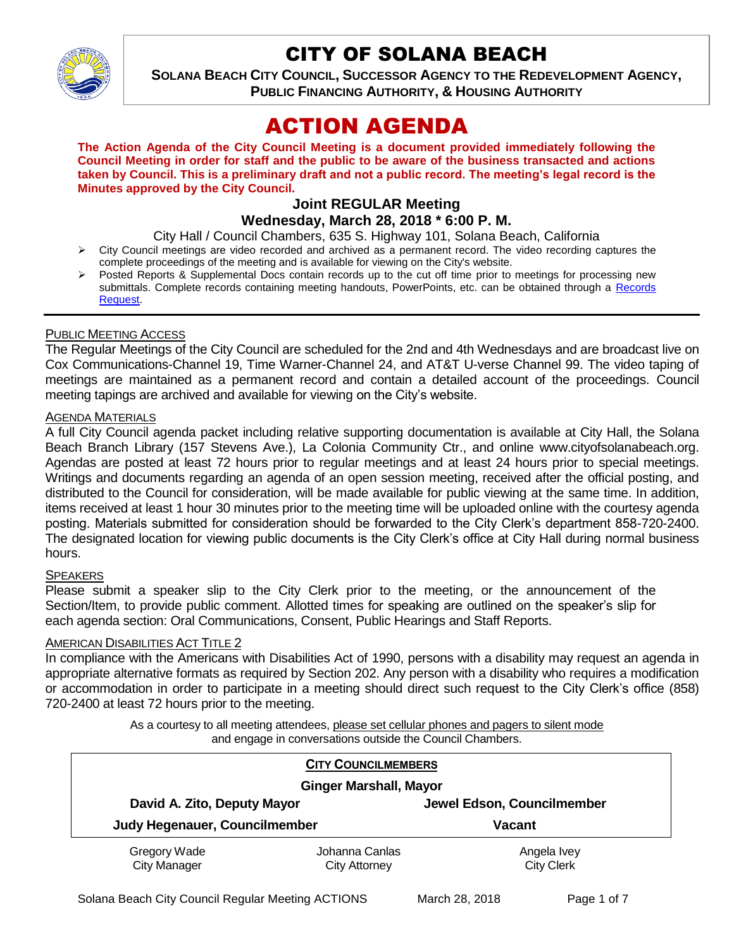

# CITY OF SOLANA BEACH

**SOLANA BEACH CITY COUNCIL, SUCCESSOR AGENCY TO THE REDEVELOPMENT AGENCY, PUBLIC FINANCING AUTHORITY, & HOUSING AUTHORITY** 

# ACTION AGENDA

**The Action Agenda of the City Council Meeting is a document provided immediately following the Council Meeting in order for staff and the public to be aware of the business transacted and actions taken by Council. This is a preliminary draft and not a public record. The meeting's legal record is the Minutes approved by the City Council.**

# **Joint REGULAR Meeting**

# **Wednesday, March 28, 2018 \* 6:00 P. M.**

City Hall / Council Chambers, 635 S. Highway 101, Solana Beach, California

- $\triangleright$  City Council meetings are video recorded and archived as a permanent record. The video recording captures the complete proceedings of the meeting and is available for viewing on the City's website.
- Posted Reports & Supplemental Docs contain records up to the cut off time prior to meetings for processing new submittals. Complete records containing meeting handouts, PowerPoints, etc. can be obtained through a Records [Request.](http://www.ci.solana-beach.ca.us/index.asp?SEC=F5D45D10-70CE-4291-A27C-7BD633FC6742&Type=B_BASIC)

#### PUBLIC MEETING ACCESS

The Regular Meetings of the City Council are scheduled for the 2nd and 4th Wednesdays and are broadcast live on Cox Communications-Channel 19, Time Warner-Channel 24, and AT&T U-verse Channel 99. The video taping of meetings are maintained as a permanent record and contain a detailed account of the proceedings. Council meeting tapings are archived and available for viewing on the City's website.

### **AGENDA MATERIALS**

A full City Council agenda packet including relative supporting documentation is available at City Hall, the Solana Beach Branch Library (157 Stevens Ave.), La Colonia Community Ctr., and online www.cityofsolanabeach.org. Agendas are posted at least 72 hours prior to regular meetings and at least 24 hours prior to special meetings. Writings and documents regarding an agenda of an open session meeting, received after the official posting, and distributed to the Council for consideration, will be made available for public viewing at the same time. In addition, items received at least 1 hour 30 minutes prior to the meeting time will be uploaded online with the courtesy agenda posting. Materials submitted for consideration should be forwarded to the City Clerk's department 858-720-2400. The designated location for viewing public documents is the City Clerk's office at City Hall during normal business hours.

# **SPEAKERS**

Please submit a speaker slip to the City Clerk prior to the meeting, or the announcement of the Section/Item, to provide public comment. Allotted times for speaking are outlined on the speaker's slip for each agenda section: Oral Communications, Consent, Public Hearings and Staff Reports.

#### AMERICAN DISABILITIES ACT TITLE 2

In compliance with the Americans with Disabilities Act of 1990, persons with a disability may request an agenda in appropriate alternative formats as required by Section 202. Any person with a disability who requires a modification or accommodation in order to participate in a meeting should direct such request to the City Clerk's office (858) 720-2400 at least 72 hours prior to the meeting.

> As a courtesy to all meeting attendees, please set cellular phones and pagers to silent mode and engage in conversations outside the Council Chambers.

|                                                              | <b>CITY COUNCILMEMBERS</b> |                            |  |
|--------------------------------------------------------------|----------------------------|----------------------------|--|
| <b>Ginger Marshall, Mayor</b>                                |                            |                            |  |
| David A. Zito, Deputy Mayor<br>Judy Hegenauer, Councilmember |                            | Jewel Edson, Councilmember |  |
|                                                              |                            | <b>Vacant</b>              |  |
| Gregory Wade                                                 | Johanna Canlas             | Angela Ivey                |  |
| <b>City Manager</b>                                          | <b>City Attorney</b>       | <b>City Clerk</b>          |  |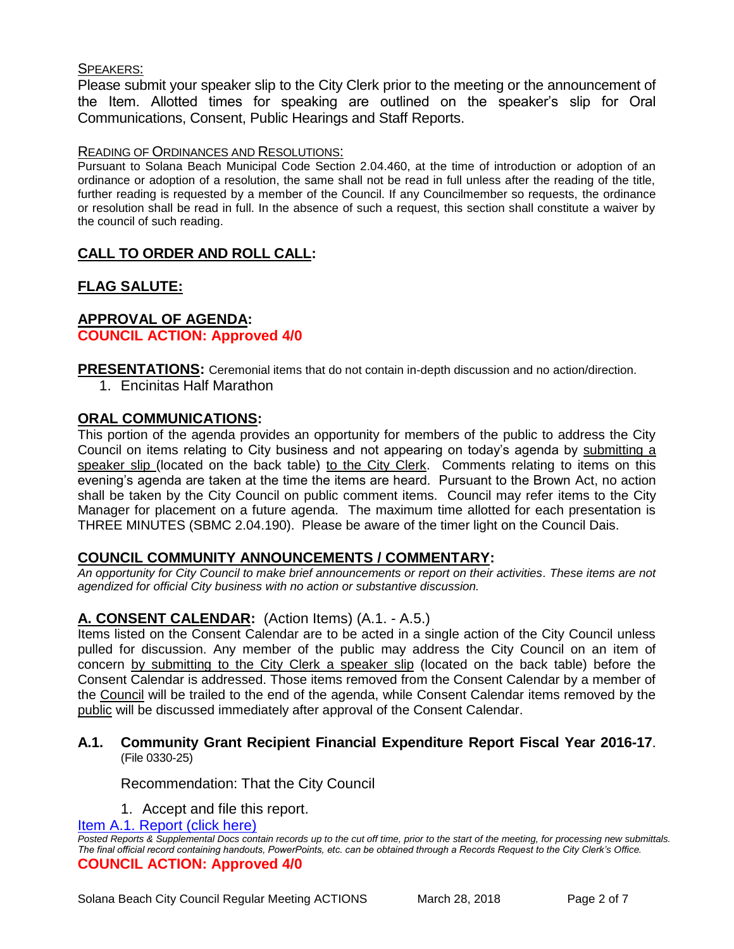#### SPEAKERS:

Please submit your speaker slip to the City Clerk prior to the meeting or the announcement of the Item. Allotted times for speaking are outlined on the speaker's slip for Oral Communications, Consent, Public Hearings and Staff Reports.

#### READING OF ORDINANCES AND RESOLUTIONS:

Pursuant to Solana Beach Municipal Code Section 2.04.460, at the time of introduction or adoption of an ordinance or adoption of a resolution, the same shall not be read in full unless after the reading of the title, further reading is requested by a member of the Council. If any Councilmember so requests, the ordinance or resolution shall be read in full. In the absence of such a request, this section shall constitute a waiver by the council of such reading.

# **CALL TO ORDER AND ROLL CALL:**

# **FLAG SALUTE:**

#### **APPROVAL OF AGENDA: COUNCIL ACTION: Approved 4/0**

**PRESENTATIONS:** Ceremonial items that do not contain in-depth discussion and no action/direction.

1. Encinitas Half Marathon

## **ORAL COMMUNICATIONS:**

This portion of the agenda provides an opportunity for members of the public to address the City Council on items relating to City business and not appearing on today's agenda by submitting a speaker slip (located on the back table) to the City Clerk. Comments relating to items on this evening's agenda are taken at the time the items are heard. Pursuant to the Brown Act, no action shall be taken by the City Council on public comment items. Council may refer items to the City Manager for placement on a future agenda. The maximum time allotted for each presentation is THREE MINUTES (SBMC 2.04.190). Please be aware of the timer light on the Council Dais.

## **COUNCIL COMMUNITY ANNOUNCEMENTS / COMMENTARY:**

*An opportunity for City Council to make brief announcements or report on their activities. These items are not agendized for official City business with no action or substantive discussion.* 

## **A. CONSENT CALENDAR:** (Action Items) (A.1. - A.5.)

Items listed on the Consent Calendar are to be acted in a single action of the City Council unless pulled for discussion. Any member of the public may address the City Council on an item of concern by submitting to the City Clerk a speaker slip (located on the back table) before the Consent Calendar is addressed. Those items removed from the Consent Calendar by a member of the Council will be trailed to the end of the agenda, while Consent Calendar items removed by the public will be discussed immediately after approval of the Consent Calendar.

#### **A.1. Community Grant Recipient Financial Expenditure Report Fiscal Year 2016-17**. (File 0330-25)

Recommendation: That the City Council

1. Accept and file this report.

[Item A.1. Report \(click here\)](https://solanabeach.govoffice3.com/vertical/Sites/%7B840804C2-F869-4904-9AE3-720581350CE7%7D/uploads/Item_A.1._Report_(click_here)_-_3-28-18.PDF) *Posted Reports & Supplemental Docs contain records up to the cut off time, prior to the start of the meeting, for processing new submittals. The final official record containing handouts, PowerPoints, etc. can be obtained through a Records Request to the City Clerk's Office.* **COUNCIL ACTION: Approved 4/0**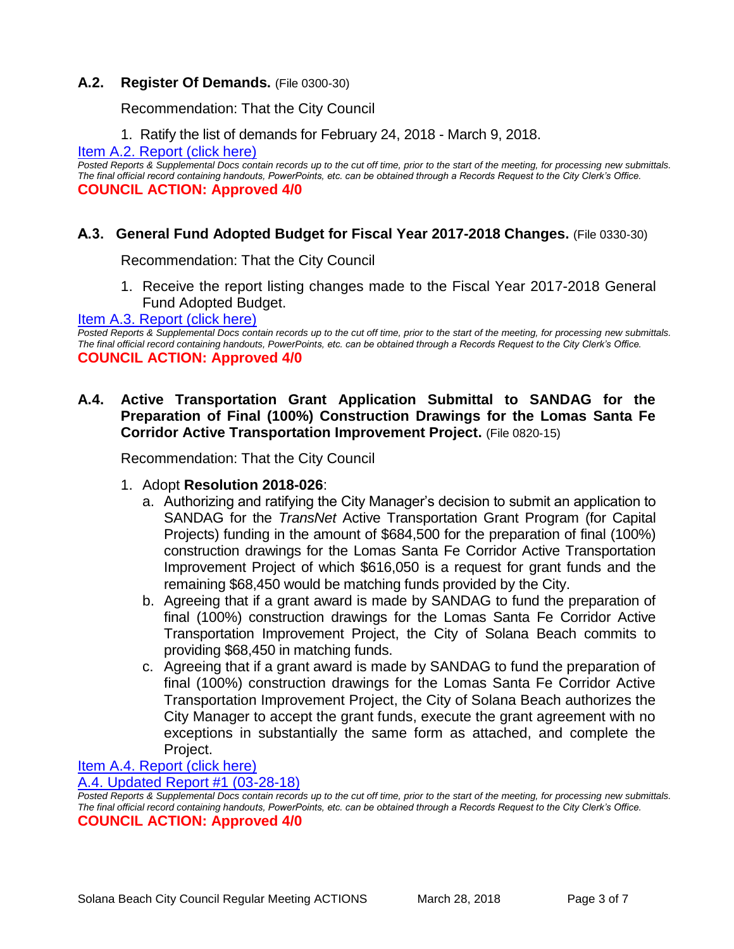#### **A.2. Register Of Demands.** (File 0300-30)

Recommendation: That the City Council

1. Ratify the list of demands for February 24, 2018 - March 9, 2018.

[Item A.2. Report \(click here\)](https://solanabeach.govoffice3.com/vertical/Sites/%7B840804C2-F869-4904-9AE3-720581350CE7%7D/uploads/Item_A.2._Report_(click_here)_-_3-28-18.PDF)

*Posted Reports & Supplemental Docs contain records up to the cut off time, prior to the start of the meeting, for processing new submittals. The final official record containing handouts, PowerPoints, etc. can be obtained through a Records Request to the City Clerk's Office.* **COUNCIL ACTION: Approved 4/0**

### **A.3. General Fund Adopted Budget for Fiscal Year 2017-2018 Changes.** (File 0330-30)

Recommendation: That the City Council

1. Receive the report listing changes made to the Fiscal Year 2017-2018 General Fund Adopted Budget.

#### [Item A.3. Report \(click here\)](https://solanabeach.govoffice3.com/vertical/Sites/%7B840804C2-F869-4904-9AE3-720581350CE7%7D/uploads/Item_A.3._Report_(click_here)_-_3-28-18.PDF)

*Posted Reports & Supplemental Docs contain records up to the cut off time, prior to the start of the meeting, for processing new submittals. The final official record containing handouts, PowerPoints, etc. can be obtained through a Records Request to the City Clerk's Office.* **COUNCIL ACTION: Approved 4/0**

## **A.4. Active Transportation Grant Application Submittal to SANDAG for the Preparation of Final (100%) Construction Drawings for the Lomas Santa Fe Corridor Active Transportation Improvement Project.** (File 0820-15)

Recommendation: That the City Council

- 1. Adopt **Resolution 2018-026**:
	- a. Authorizing and ratifying the City Manager's decision to submit an application to SANDAG for the *TransNet* Active Transportation Grant Program (for Capital Projects) funding in the amount of \$684,500 for the preparation of final (100%) construction drawings for the Lomas Santa Fe Corridor Active Transportation Improvement Project of which \$616,050 is a request for grant funds and the remaining \$68,450 would be matching funds provided by the City.
	- b. Agreeing that if a grant award is made by SANDAG to fund the preparation of final (100%) construction drawings for the Lomas Santa Fe Corridor Active Transportation Improvement Project, the City of Solana Beach commits to providing \$68,450 in matching funds.
	- c. Agreeing that if a grant award is made by SANDAG to fund the preparation of final (100%) construction drawings for the Lomas Santa Fe Corridor Active Transportation Improvement Project, the City of Solana Beach authorizes the City Manager to accept the grant funds, execute the grant agreement with no exceptions in substantially the same form as attached, and complete the Project.

#### [Item A.4. Report \(click here\)](https://solanabeach.govoffice3.com/vertical/Sites/%7B840804C2-F869-4904-9AE3-720581350CE7%7D/uploads/Item_A.4._Report_(click_here)_-_3-28-18.PDF) [A.4. Updated Report #1 \(03-28-18\)](https://solanabeach.govoffice3.com/vertical/Sites/%7B840804C2-F869-4904-9AE3-720581350CE7%7D/uploads/A.4._Updated_Report_1_-_03-28-18.pdf)

*Posted Reports & Supplemental Docs contain records up to the cut off time, prior to the start of the meeting, for processing new submittals. The final official record containing handouts, PowerPoints, etc. can be obtained through a Records Request to the City Clerk's Office.* **COUNCIL ACTION: Approved 4/0**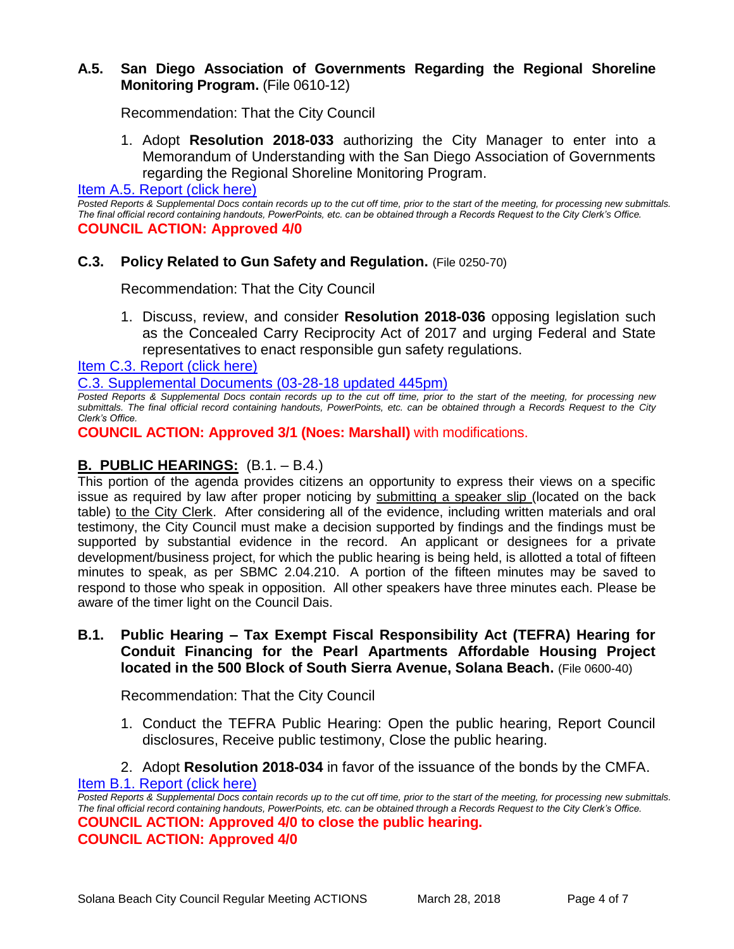### **A.5. San Diego Association of Governments Regarding the Regional Shoreline Monitoring Program.** (File 0610-12)

Recommendation: That the City Council

1. Adopt **Resolution 2018-033** authorizing the City Manager to enter into a Memorandum of Understanding with the San Diego Association of Governments regarding the Regional Shoreline Monitoring Program.

[Item A.5. Report \(click here\)](https://solanabeach.govoffice3.com/vertical/Sites/%7B840804C2-F869-4904-9AE3-720581350CE7%7D/uploads/Item_A.5._Report_(click_here)_-_3-28-18.PDF)

*Posted Reports & Supplemental Docs contain records up to the cut off time, prior to the start of the meeting, for processing new submittals. The final official record containing handouts, PowerPoints, etc. can be obtained through a Records Request to the City Clerk's Office.* **COUNCIL ACTION: Approved 4/0**

#### **C.3. Policy Related to Gun Safety and Regulation.** (File 0250-70)

Recommendation: That the City Council

1. Discuss, review, and consider **Resolution 2018-036** opposing legislation such as the Concealed Carry Reciprocity Act of 2017 and urging Federal and State representatives to enact responsible gun safety regulations.

[Item C.3. Report \(click here\)](https://solanabeach.govoffice3.com/vertical/Sites/%7B840804C2-F869-4904-9AE3-720581350CE7%7D/uploads/Item_C.3._Report_(click_here)_-_3-28-18.PDF)

[C.3. Supplemental Documents \(03-28-18 updated 445pm\)](https://solanabeach.govoffice3.com/vertical/Sites/%7B840804C2-F869-4904-9AE3-720581350CE7%7D/uploads/C.3._Supplemental_Documents_(03-28_updated_440pm).PDF)

**Posted Reports & Supplemental Docs contain records up to the cut off time, prior to the start of the meeting, for processing new** *submittals. The final official record containing handouts, PowerPoints, etc. can be obtained through a Records Request to the City Clerk's Office.*

**COUNCIL ACTION: Approved 3/1 (Noes: Marshall)** with modifications.

## **B. PUBLIC HEARINGS:** (B.1. – B.4.)

This portion of the agenda provides citizens an opportunity to express their views on a specific issue as required by law after proper noticing by submitting a speaker slip (located on the back table) to the City Clerk. After considering all of the evidence, including written materials and oral testimony, the City Council must make a decision supported by findings and the findings must be supported by substantial evidence in the record. An applicant or designees for a private development/business project, for which the public hearing is being held, is allotted a total of fifteen minutes to speak, as per SBMC 2.04.210. A portion of the fifteen minutes may be saved to respond to those who speak in opposition. All other speakers have three minutes each. Please be aware of the timer light on the Council Dais.

### **B.1. Public Hearing – Tax Exempt Fiscal Responsibility Act (TEFRA) Hearing for Conduit Financing for the Pearl Apartments Affordable Housing Project located in the 500 Block of South Sierra Avenue, Solana Beach.** (File 0600-40)

Recommendation: That the City Council

- 1. Conduct the TEFRA Public Hearing: Open the public hearing, Report Council disclosures, Receive public testimony, Close the public hearing.
- 2. Adopt **Resolution 2018-034** in favor of the issuance of the bonds by the CMFA.

[Item B.1. Report \(click here\)](https://solanabeach.govoffice3.com/vertical/Sites/%7B840804C2-F869-4904-9AE3-720581350CE7%7D/uploads/Item_B.1._Report_(click_here)_-_3-28-18.PDF)

*Posted Reports & Supplemental Docs contain records up to the cut off time, prior to the start of the meeting, for processing new submittals. The final official record containing handouts, PowerPoints, etc. can be obtained through a Records Request to the City Clerk's Office.* **COUNCIL ACTION: Approved 4/0 to close the public hearing.**

**COUNCIL ACTION: Approved 4/0**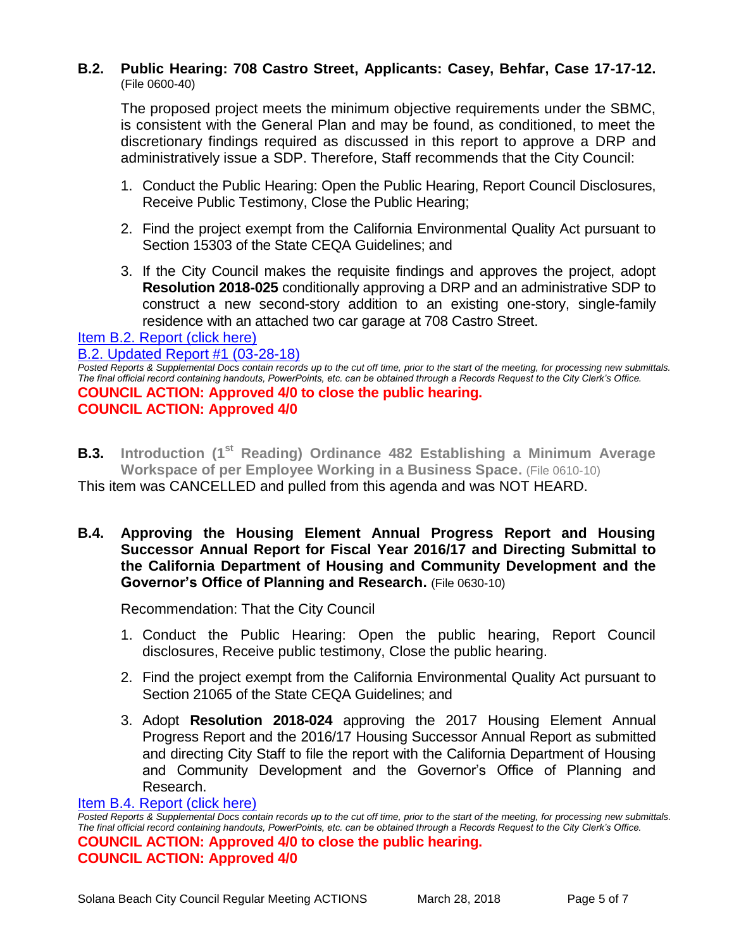#### **B.2. Public Hearing: 708 Castro Street, Applicants: Casey, Behfar, Case 17-17-12.** (File 0600-40)

The proposed project meets the minimum objective requirements under the SBMC, is consistent with the General Plan and may be found, as conditioned, to meet the discretionary findings required as discussed in this report to approve a DRP and administratively issue a SDP. Therefore, Staff recommends that the City Council:

- 1. Conduct the Public Hearing: Open the Public Hearing, Report Council Disclosures, Receive Public Testimony, Close the Public Hearing;
- 2. Find the project exempt from the California Environmental Quality Act pursuant to Section 15303 of the State CEQA Guidelines; and
- 3. If the City Council makes the requisite findings and approves the project, adopt **Resolution 2018-025** conditionally approving a DRP and an administrative SDP to construct a new second-story addition to an existing one-story, single-family residence with an attached two car garage at 708 Castro Street.

# [Item B.2. Report \(click here\)](https://solanabeach.govoffice3.com/vertical/Sites/%7B840804C2-F869-4904-9AE3-720581350CE7%7D/uploads/Item_B.2._Report_(click_here)_-_3-28-18.PDF)

#### [B.2. Updated Report #1 \(03-28-18\)](https://solanabeach.govoffice3.com/vertical/Sites/%7B840804C2-F869-4904-9AE3-720581350CE7%7D/uploads/B.2._Updated_Report_1_-_03-28-18.pdf)

*Posted Reports & Supplemental Docs contain records up to the cut off time, prior to the start of the meeting, for processing new submittals. The final official record containing handouts, PowerPoints, etc. can be obtained through a Records Request to the City Clerk's Office.* **COUNCIL ACTION: Approved 4/0 to close the public hearing. COUNCIL ACTION: Approved 4/0**

- **B.3. Introduction (1st Reading) Ordinance 482 Establishing a Minimum Average Workspace of per Employee Working in a Business Space.** (File 0610-10) This item was CANCELLED and pulled from this agenda and was NOT HEARD.
- **B.4. Approving the Housing Element Annual Progress Report and Housing Successor Annual Report for Fiscal Year 2016/17 and Directing Submittal to the California Department of Housing and Community Development and the Governor's Office of Planning and Research.** (File 0630-10)

Recommendation: That the City Council

- 1. Conduct the Public Hearing: Open the public hearing, Report Council disclosures, Receive public testimony, Close the public hearing.
- 2. Find the project exempt from the California Environmental Quality Act pursuant to Section 21065 of the State CEQA Guidelines; and
- 3. Adopt **Resolution 2018-024** approving the 2017 Housing Element Annual Progress Report and the 2016/17 Housing Successor Annual Report as submitted and directing City Staff to file the report with the California Department of Housing and Community Development and the Governor's Office of Planning and Research.

#### [Item B.4. Report \(click here\)](https://solanabeach.govoffice3.com/vertical/Sites/%7B840804C2-F869-4904-9AE3-720581350CE7%7D/uploads/Item_B.4._Report_(click_here)_-_3-28-18.PDF)

*Posted Reports & Supplemental Docs contain records up to the cut off time, prior to the start of the meeting, for processing new submittals. The final official record containing handouts, PowerPoints, etc. can be obtained through a Records Request to the City Clerk's Office.* **COUNCIL ACTION: Approved 4/0 to close the public hearing. COUNCIL ACTION: Approved 4/0**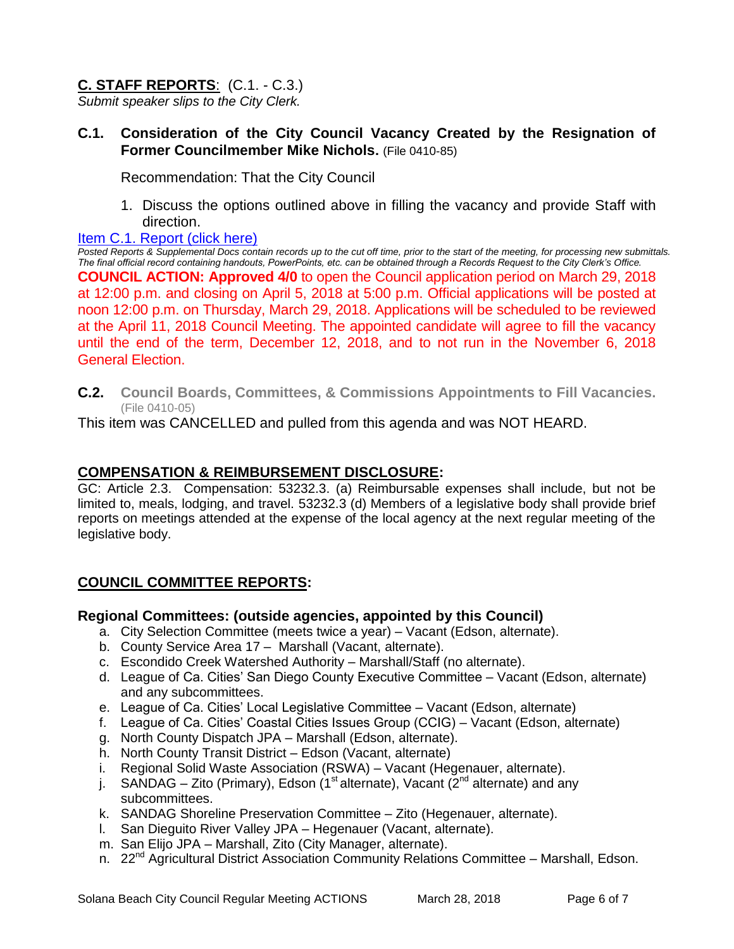# **C. STAFF REPORTS**: (C.1. - C.3.)

*Submit speaker slips to the City Clerk.*

## **C.1. Consideration of the City Council Vacancy Created by the Resignation of Former Councilmember Mike Nichols.** (File 0410-85)

Recommendation: That the City Council

1. Discuss the options outlined above in filling the vacancy and provide Staff with direction.

#### [Item C.1. Report \(click here\)](https://solanabeach.govoffice3.com/vertical/Sites/%7B840804C2-F869-4904-9AE3-720581350CE7%7D/uploads/Item_C.1._Report_(click_here)_-_3-28-18.PDF)

*Posted Reports & Supplemental Docs contain records up to the cut off time, prior to the start of the meeting, for processing new submittals. The final official record containing handouts, PowerPoints, etc. can be obtained through a Records Request to the City Clerk's Office.* **COUNCIL ACTION: Approved 4/0** to open the Council application period on March 29, 2018 at 12:00 p.m. and closing on April 5, 2018 at 5:00 p.m. Official applications will be posted at noon 12:00 p.m. on Thursday, March 29, 2018. Applications will be scheduled to be reviewed at the April 11, 2018 Council Meeting. The appointed candidate will agree to fill the vacancy until the end of the term, December 12, 2018, and to not run in the November 6, 2018 General Election.

**C.2. Council Boards, Committees, & Commissions Appointments to Fill Vacancies.** (File 0410-05)

This item was CANCELLED and pulled from this agenda and was NOT HEARD.

## **COMPENSATION & REIMBURSEMENT DISCLOSURE:**

GC: Article 2.3. Compensation: 53232.3. (a) Reimbursable expenses shall include, but not be limited to, meals, lodging, and travel. 53232.3 (d) Members of a legislative body shall provide brief reports on meetings attended at the expense of the local agency at the next regular meeting of the legislative body.

# **COUNCIL COMMITTEE REPORTS:**

## **Regional Committees: (outside agencies, appointed by this Council)**

- a. City Selection Committee (meets twice a year) Vacant (Edson, alternate).
- b. County Service Area 17 Marshall (Vacant, alternate).
- c. Escondido Creek Watershed Authority Marshall/Staff (no alternate).
- d. League of Ca. Cities' San Diego County Executive Committee Vacant (Edson, alternate) and any subcommittees.
- e. League of Ca. Cities' Local Legislative Committee Vacant (Edson, alternate)
- f. League of Ca. Cities' Coastal Cities Issues Group (CCIG) Vacant (Edson, alternate)
- g. North County Dispatch JPA Marshall (Edson, alternate).
- h. North County Transit District Edson (Vacant, alternate)
- i. Regional Solid Waste Association (RSWA) Vacant (Hegenauer, alternate).
- j. SANDAG Zito (Primary), Edson (1<sup>st</sup> alternate), Vacant (2<sup>nd</sup> alternate) and any subcommittees.
- k. SANDAG Shoreline Preservation Committee Zito (Hegenauer, alternate).
- l. San Dieguito River Valley JPA Hegenauer (Vacant, alternate).
- m. San Elijo JPA Marshall, Zito (City Manager, alternate).
- n. 22<sup>nd</sup> Agricultural District Association Community Relations Committee Marshall, Edson.